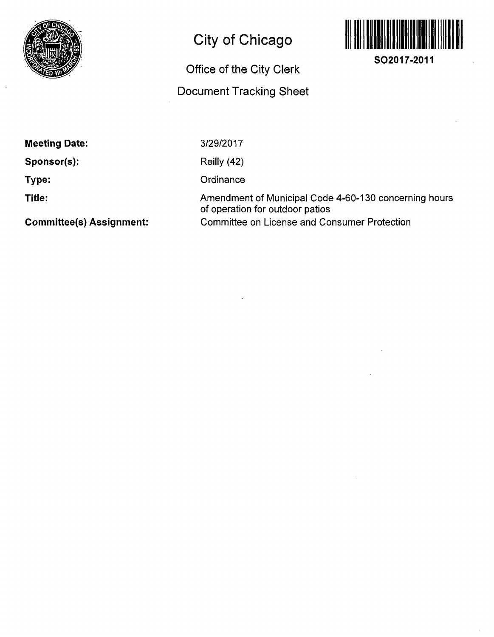

# **City of Chicago**

# **Office of the City Clerk**

## **Document Tracking Sheet**



**Meeting Date:** 

**Sponsor(s):** 

**Type:** 

**Title:** 

3/29/2017

Reilly (42)

**Ordinance** 

Amendment of Municipal Code 4-60-130 concerning hours of operation for outdoor patios Committee on License and Consumer Protection

**Commlttee(s) Assignment:**